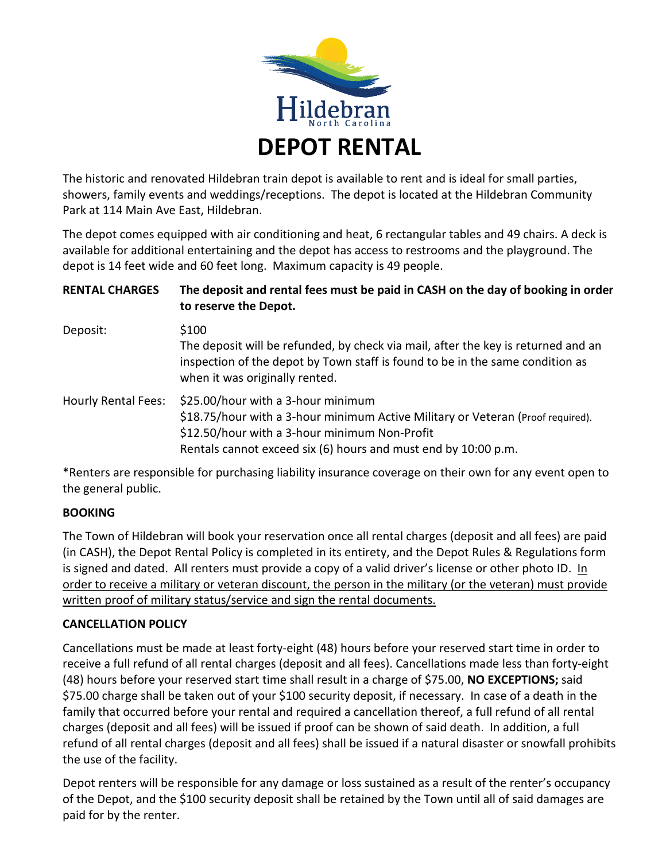

The historic and renovated Hildebran train depot is available to rent and is ideal for small parties, showers, family events and weddings/receptions. The depot is located at the Hildebran Community Park at 114 Main Ave East, Hildebran.

The depot comes equipped with air conditioning and heat, 6 rectangular tables and 49 chairs. A deck is available for additional entertaining and the depot has access to restrooms and the playground. The depot is 14 feet wide and 60 feet long. Maximum capacity is 49 people.

| <b>RENTAL CHARGES</b> | The deposit and rental fees must be paid in CASH on the day of booking in order<br>to reserve the Depot.                                                                                                                                 |
|-----------------------|------------------------------------------------------------------------------------------------------------------------------------------------------------------------------------------------------------------------------------------|
| Deposit:              | \$100<br>The deposit will be refunded, by check via mail, after the key is returned and an<br>inspection of the depot by Town staff is found to be in the same condition as<br>when it was originally rented.                            |
| Hourly Rental Fees:   | \$25.00/hour with a 3-hour minimum<br>\$18.75/hour with a 3-hour minimum Active Military or Veteran (Proof required).<br>\$12.50/hour with a 3-hour minimum Non-Profit<br>Rentals cannot exceed six (6) hours and must end by 10:00 p.m. |

\*Renters are responsible for purchasing liability insurance coverage on their own for any event open to the general public.

### **BOOKING**

The Town of Hildebran will book your reservation once all rental charges (deposit and all fees) are paid (in CASH), the Depot Rental Policy is completed in its entirety, and the Depot Rules & Regulations form is signed and dated. All renters must provide a copy of a valid driver's license or other photo ID. In order to receive a military or veteran discount, the person in the military (or the veteran) must provide written proof of military status/service and sign the rental documents.

### **CANCELLATION POLICY**

Cancellations must be made at least forty-eight (48) hours before your reserved start time in order to receive a full refund of all rental charges (deposit and all fees). Cancellations made less than forty-eight (48) hours before your reserved start time shall result in a charge of \$75.00, **NO EXCEPTIONS;** said \$75.00 charge shall be taken out of your \$100 security deposit, if necessary. In case of a death in the family that occurred before your rental and required a cancellation thereof, a full refund of all rental charges (deposit and all fees) will be issued if proof can be shown of said death. In addition, a full refund of all rental charges (deposit and all fees) shall be issued if a natural disaster or snowfall prohibits the use of the facility.

Depot renters will be responsible for any damage or loss sustained as a result of the renter's occupancy of the Depot, and the \$100 security deposit shall be retained by the Town until all of said damages are paid for by the renter.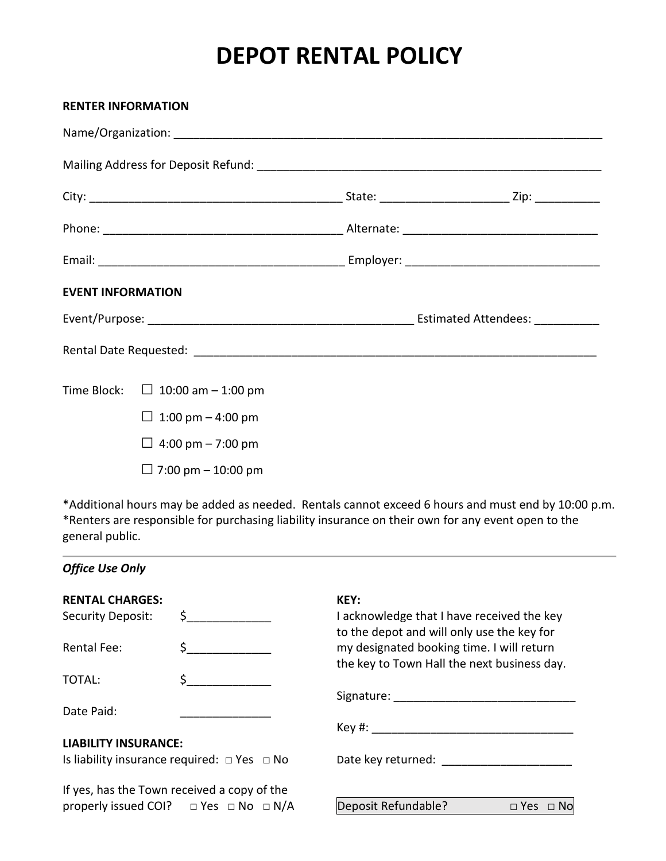## **DEPOT RENTAL POLICY**

| <b>RENTER INFORMATION</b> |                                       |  |
|---------------------------|---------------------------------------|--|
|                           |                                       |  |
|                           |                                       |  |
|                           |                                       |  |
|                           |                                       |  |
|                           |                                       |  |
| <b>EVENT INFORMATION</b>  |                                       |  |
|                           |                                       |  |
|                           |                                       |  |
|                           | Time Block: $\Box$ 10:00 am - 1:00 pm |  |
|                           | □ 1:00 pm $-$ 4:00 pm                 |  |
|                           | □ 4:00 pm $-$ 7:00 pm                 |  |
|                           | □ 7:00 pm – 10:00 pm                  |  |
|                           |                                       |  |

\*Additional hours may be added as needed. Rentals cannot exceed 6 hours and must end by 10:00 p.m. \*Renters are responsible for purchasing liability insurance on their own for any event open to the general public.

### *Office Use Only*

| <b>RENTAL CHARGES:</b>                                |                                                      | KEY:                                                                                     |
|-------------------------------------------------------|------------------------------------------------------|------------------------------------------------------------------------------------------|
| <b>Security Deposit:</b>                              |                                                      | I acknowledge that I have received the key<br>to the depot and will only use the key for |
| <b>Rental Fee:</b>                                    |                                                      | my designated booking time. I will return<br>the key to Town Hall the next business day. |
| TOTAL:                                                |                                                      |                                                                                          |
|                                                       |                                                      |                                                                                          |
| Date Paid:                                            |                                                      |                                                                                          |
|                                                       |                                                      |                                                                                          |
| <b>LIABILITY INSURANCE:</b>                           |                                                      |                                                                                          |
| Is liability insurance required: $\Box$ Yes $\Box$ No |                                                      | Date key returned: __________________                                                    |
| If yes, has the Town received a copy of the           |                                                      |                                                                                          |
|                                                       | properly issued COI? $\Box$ Yes $\Box$ No $\Box$ N/A | Deposit Refundable?<br>$\Box$ Yes<br>$\Box$ No                                           |